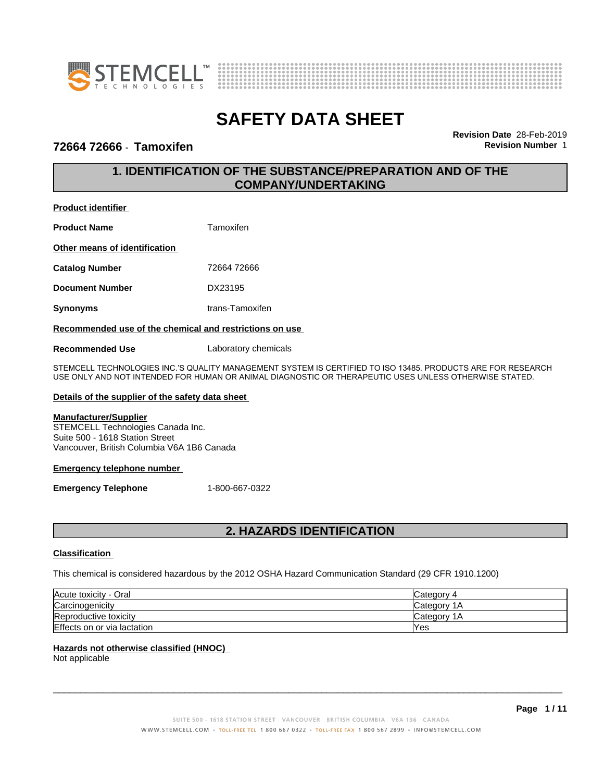



### **72664 72666** - **Tamoxifen Revision Number** 1

**Revision Date** 28-Feb-2019

# **1. IDENTIFICATION OF THE SUBSTANCE/PREPARATION AND OF THE COMPANY/UNDERTAKING**

### **Product identifier**

| <b>Product Name</b>           | Tamoxifen       |
|-------------------------------|-----------------|
| Other means of identification |                 |
| <b>Catalog Number</b>         | 72664 72666     |
| <b>Document Number</b>        | DX23195         |
| Synonyms                      | trans-Tamoxifen |
|                               |                 |

### **Recommended use of the chemical and restrictions on use**

**Recommended Use** Laboratory chemicals

STEMCELL TECHNOLOGIES INC.'S QUALITY MANAGEMENT SYSTEM IS CERTIFIED TO ISO 13485. PRODUCTS ARE FOR RESEARCH USE ONLY AND NOT INTENDED FOR HUMAN OR ANIMAL DIAGNOSTIC OR THERAPEUTIC USES UNLESS OTHERWISE STATED.

### **Details of the supplier of the safety data sheet**

### **Manufacturer/Supplier**

STEMCELL Technologies Canada Inc. Suite 500 - 1618 Station Street Vancouver, British Columbia V6A 1B6 Canada

### **Emergency telephone number**

**Emergency Telephone** 1-800-667-0322

# **2. HAZARDS IDENTIFICATION**

### **Classification**

This chemical is considered hazardous by the 2012 OSHA Hazard Communication Standard (29 CFR 1910.1200)

| Acute toxicity - Oral       | Category 4       |
|-----------------------------|------------------|
| Carcinogenicity             | Category 1<br>1Α |
| Reproductive toxicity       | Category 1<br>1Α |
| Effects on or via lactation | Yes              |

### **Hazards not otherwise classified (HNOC)**

Not applicable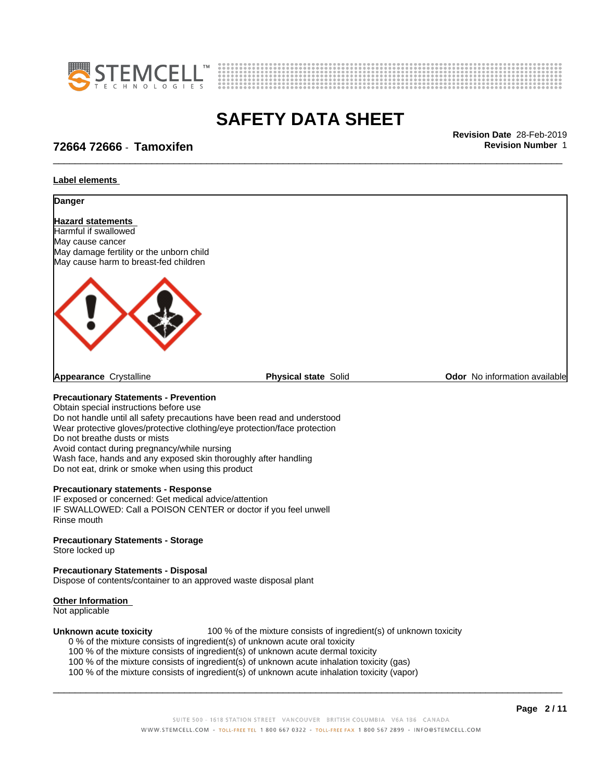



\_\_\_\_\_\_\_\_\_\_\_\_\_\_\_\_\_\_\_\_\_\_\_\_\_\_\_\_\_\_\_\_\_\_\_\_\_\_\_\_\_\_\_\_\_\_\_\_\_\_\_\_\_\_\_\_\_\_\_\_\_\_\_\_\_\_\_\_\_\_\_\_\_\_\_\_\_\_\_\_\_\_\_\_\_\_\_\_\_\_\_\_\_ **Revision Date** 28-Feb-2019

# **72664 72666** - **Tamoxifen Revision Number** 1

### **Label elements**



Do not handle until all safety precautions have been read and understood Wear protective gloves/protective clothing/eye protection/face protection Do not breathe dusts or mists Avoid contact during pregnancy/while nursing Wash face, hands and any exposed skin thoroughly after handling Do not eat, drink or smoke when using this product

### **Precautionary statements - Response**

IF exposed or concerned: Get medical advice/attention IF SWALLOWED: Call a POISON CENTER or doctor if you feel unwell Rinse mouth

### **Precautionary Statements - Storage**

Store locked up

### **Precautionary Statements - Disposal**

Dispose of contents/container to an approved waste disposal plant

#### **Other Information**

Not applicable

**Unknown acute toxicity** 100 % of the mixture consists of ingredient(s) of unknown toxicity 0 % of the mixture consists of ingredient(s) of unknown acute oral toxicity

- 
- 100 % of the mixture consists of ingredient(s) of unknown acute dermal toxicity

100 % of the mixture consists of ingredient(s) of unknown acute inhalation toxicity (gas)

100 % of the mixture consists of ingredient(s) of unknown acute inhalation toxicity (vapor)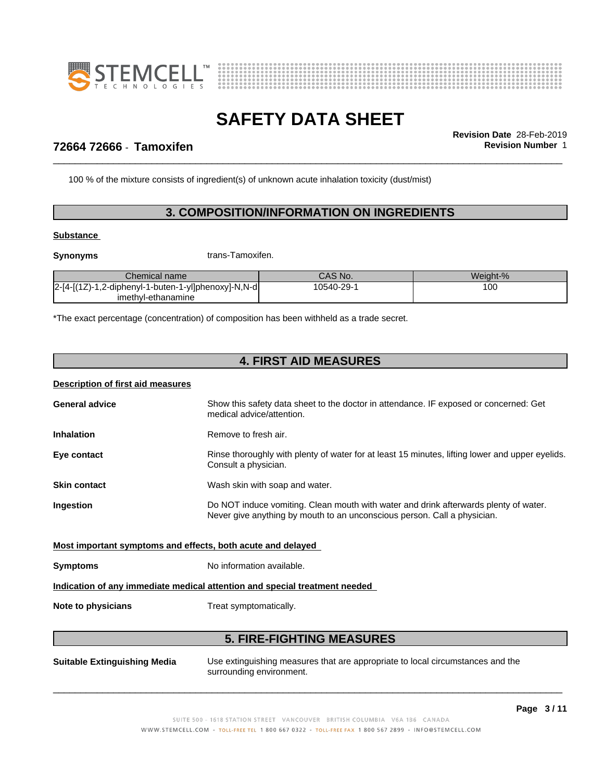



\_\_\_\_\_\_\_\_\_\_\_\_\_\_\_\_\_\_\_\_\_\_\_\_\_\_\_\_\_\_\_\_\_\_\_\_\_\_\_\_\_\_\_\_\_\_\_\_\_\_\_\_\_\_\_\_\_\_\_\_\_\_\_\_\_\_\_\_\_\_\_\_\_\_\_\_\_\_\_\_\_\_\_\_\_\_\_\_\_\_\_\_\_ **Revision Date** 28-Feb-2019

# **72664 72666** - **Tamoxifen Revision Number** 1

100 % of the mixture consists of ingredient(s) of unknown acute inhalation toxicity (dust/mist)

### **3. COMPOSITION/INFORMATION ON INGREDIENTS**

### **Substance**

**Synonyms** trans-Tamoxifen.

| Chemical name                                                | CAS No.   | Weiaht-% |
|--------------------------------------------------------------|-----------|----------|
| l2-[4-[(1Z)-1.2-<br>1,2-diphenyl-1-buten-1-yl]phenoxy]-N,N-d | 10540-29- | 100      |
| imethyl-ethanamine                                           |           |          |

\*The exact percentage (concentration) of composition has been withheld as a trade secret.

# **4. FIRST AID MEASURES**

### **Description of first aid measures**

| <b>General advice</b> | Show this safety data sheet to the doctor in attendance. IF exposed or concerned: Get<br>medical advice/attention.                                               |
|-----------------------|------------------------------------------------------------------------------------------------------------------------------------------------------------------|
| <b>Inhalation</b>     | Remove to fresh air.                                                                                                                                             |
| Eye contact           | Rinse thoroughly with plenty of water for at least 15 minutes, lifting lower and upper eyelids.<br>Consult a physician.                                          |
| <b>Skin contact</b>   | Wash skin with soap and water.                                                                                                                                   |
| <b>Ingestion</b>      | Do NOT induce vomiting. Clean mouth with water and drink afterwards plenty of water.<br>Never give anything by mouth to an unconscious person. Call a physician. |

### **Most important symptoms and effects, both acute and delayed**

**Symptoms** No information available.

### **Indication of any immediate medical attention and special treatment needed**

**Note to physicians** Treat symptomatically.

### **5. FIRE-FIGHTING MEASURES**

**Suitable Extinguishing Media** Use extinguishing measures that are appropriate to local circumstances and the surrounding environment.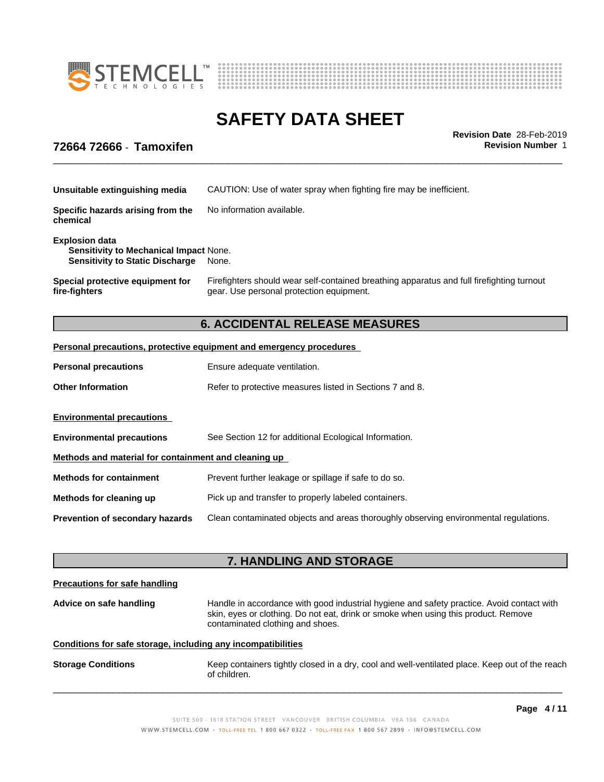



\_\_\_\_\_\_\_\_\_\_\_\_\_\_\_\_\_\_\_\_\_\_\_\_\_\_\_\_\_\_\_\_\_\_\_\_\_\_\_\_\_\_\_\_\_\_\_\_\_\_\_\_\_\_\_\_\_\_\_\_\_\_\_\_\_\_\_\_\_\_\_\_\_\_\_\_\_\_\_\_\_\_\_\_\_\_\_\_\_\_\_\_\_ **Revision Date** 28-Feb-2019

## **72664 72666** - **Tamoxifen Revision Number** 1

| Unsuitable extinguishing media                                                                                   | CAUTION: Use of water spray when fighting fire may be inefficient.                                                                    |
|------------------------------------------------------------------------------------------------------------------|---------------------------------------------------------------------------------------------------------------------------------------|
| Specific hazards arising from the<br>chemical                                                                    | No information available.                                                                                                             |
| <b>Explosion data</b><br><b>Sensitivity to Mechanical Impact None.</b><br><b>Sensitivity to Static Discharge</b> | None.                                                                                                                                 |
| Special protective equipment for<br>fire-fighters                                                                | Firefighters should wear self-contained breathing apparatus and full firefighting turnout<br>gear. Use personal protection equipment. |

# **6. ACCIDENTAL RELEASE MEASURES**

### **Personal precautions, protective equipment and emergency procedures**

| <b>Personal precautions</b>                          | Ensure adequate ventilation.                                                         |
|------------------------------------------------------|--------------------------------------------------------------------------------------|
| <b>Other Information</b>                             | Refer to protective measures listed in Sections 7 and 8.                             |
| <b>Environmental precautions</b>                     |                                                                                      |
| <b>Environmental precautions</b>                     | See Section 12 for additional Ecological Information.                                |
| Methods and material for containment and cleaning up |                                                                                      |
| <b>Methods for containment</b>                       | Prevent further leakage or spillage if safe to do so.                                |
| Methods for cleaning up                              | Pick up and transfer to properly labeled containers.                                 |
| <b>Prevention of secondary hazards</b>               | Clean contaminated objects and areas thoroughly observing environmental regulations. |

# **7. HANDLING AND STORAGE**

# **Precautions for safe handling Advice on safe handling** Handle in accordance with good industrial hygiene and safety practice. Avoid contact with skin, eyes or clothing. Do not eat, drink or smoke when using this product. Remove contaminated clothing and shoes. **Conditions for safe storage, including any incompatibilities Storage Conditions** Keep containers tightly closed in a dry, cool and well-ventilated place. Keep out of the reach of children.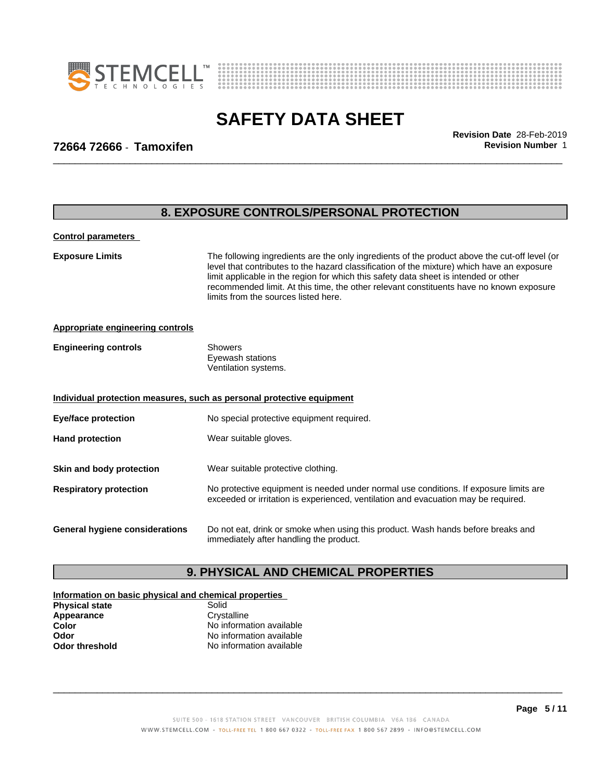



# **SAFETY DATA SHEET**<br>Revision Date 28-Feb-2019

\_\_\_\_\_\_\_\_\_\_\_\_\_\_\_\_\_\_\_\_\_\_\_\_\_\_\_\_\_\_\_\_\_\_\_\_\_\_\_\_\_\_\_\_\_\_\_\_\_\_\_\_\_\_\_\_\_\_\_\_\_\_\_\_\_\_\_\_\_\_\_\_\_\_\_\_\_\_\_\_\_\_\_\_\_\_\_\_\_\_\_\_\_ **Revision Date** 28-Feb-2019

## **72664 72666** - **Tamoxifen Revision Number** 1

|                                         | 8. EXPOSURE CONTROLS/PERSONAL PROTECTION                                                                                                                                                                                                                                                                                                                                                                               |  |
|-----------------------------------------|------------------------------------------------------------------------------------------------------------------------------------------------------------------------------------------------------------------------------------------------------------------------------------------------------------------------------------------------------------------------------------------------------------------------|--|
| <b>Control parameters</b>               |                                                                                                                                                                                                                                                                                                                                                                                                                        |  |
| <b>Exposure Limits</b>                  | The following ingredients are the only ingredients of the product above the cut-off level (or<br>level that contributes to the hazard classification of the mixture) which have an exposure<br>limit applicable in the region for which this safety data sheet is intended or other<br>recommended limit. At this time, the other relevant constituents have no known exposure<br>limits from the sources listed here. |  |
| <b>Appropriate engineering controls</b> |                                                                                                                                                                                                                                                                                                                                                                                                                        |  |
| <b>Engineering controls</b>             | <b>Showers</b><br>Eyewash stations<br>Ventilation systems.                                                                                                                                                                                                                                                                                                                                                             |  |
|                                         | Individual protection measures, such as personal protective equipment                                                                                                                                                                                                                                                                                                                                                  |  |
| <b>Eye/face protection</b>              | No special protective equipment required.                                                                                                                                                                                                                                                                                                                                                                              |  |
| <b>Hand protection</b>                  | Wear suitable gloves.                                                                                                                                                                                                                                                                                                                                                                                                  |  |
| Skin and body protection                | Wear suitable protective clothing.                                                                                                                                                                                                                                                                                                                                                                                     |  |
| <b>Respiratory protection</b>           | No protective equipment is needed under normal use conditions. If exposure limits are<br>exceeded or irritation is experienced, ventilation and evacuation may be required.                                                                                                                                                                                                                                            |  |
| <b>General hygiene considerations</b>   | Do not eat, drink or smoke when using this product. Wash hands before breaks and<br>immediately after handling the product.                                                                                                                                                                                                                                                                                            |  |

# **9. PHYSICAL AND CHEMICAL PROPERTIES**

#### **Information on basic physical and chemical properties Physical state**<br> **Appearance** Crystalline Appearance<br>Color **Color** No information available<br> **Color** No information available<br>
No information available **Odor** No information available<br> **Odor threshold** No information available **No information available**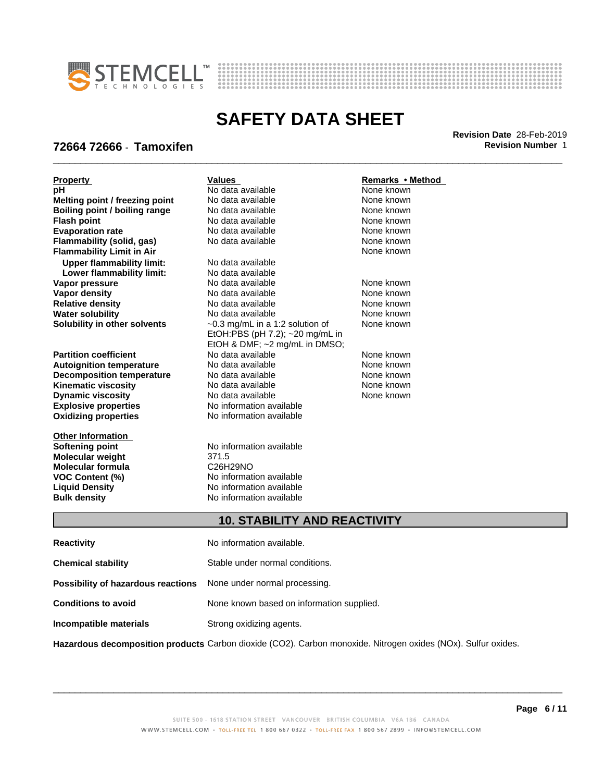



\_\_\_\_\_\_\_\_\_\_\_\_\_\_\_\_\_\_\_\_\_\_\_\_\_\_\_\_\_\_\_\_\_\_\_\_\_\_\_\_\_\_\_\_\_\_\_\_\_\_\_\_\_\_\_\_\_\_\_\_\_\_\_\_\_\_\_\_\_\_\_\_\_\_\_\_\_\_\_\_\_\_\_\_\_\_\_\_\_\_\_\_\_ **Revision Date** 28-Feb-2019

# **72664 72666** - **Tamoxifen Revision Number** 1

| <b>Property</b>                  | <b>Values</b>                         | Remarks • Method |
|----------------------------------|---------------------------------------|------------------|
| рH                               | No data available                     | None known       |
| Melting point / freezing point   | No data available                     | None known       |
| Boiling point / boiling range    | No data available                     | None known       |
| <b>Flash point</b>               | No data available                     | None known       |
| <b>Evaporation rate</b>          | No data available                     | None known       |
| Flammability (solid, gas)        | No data available                     | None known       |
| <b>Flammability Limit in Air</b> |                                       | None known       |
| <b>Upper flammability limit:</b> | No data available                     |                  |
| Lower flammability limit:        | No data available                     |                  |
| Vapor pressure                   | No data available                     | None known       |
| <b>Vapor density</b>             | No data available                     | None known       |
| <b>Relative density</b>          | No data available                     | None known       |
| <b>Water solubility</b>          | No data available                     | None known       |
| Solubility in other solvents     | $\sim$ 0.3 mg/mL in a 1:2 solution of | None known       |
|                                  | EtOH:PBS (pH 7.2); ~20 mg/mL in       |                  |
|                                  | EtOH & DMF; ~2 mg/mL in DMSO;         |                  |
| <b>Partition coefficient</b>     | No data available                     | None known       |
| <b>Autoignition temperature</b>  | No data available                     | None known       |
| <b>Decomposition temperature</b> | No data available                     | None known       |
| <b>Kinematic viscosity</b>       | No data available                     | None known       |
| <b>Dynamic viscosity</b>         | No data available                     | None known       |
| <b>Explosive properties</b>      | No information available              |                  |
| <b>Oxidizing properties</b>      | No information available              |                  |
| <b>Other Information</b>         |                                       |                  |
| <b>Softening point</b>           | No information available              |                  |
| <b>Molecular weight</b>          | 371.5                                 |                  |
| <b>Molecular formula</b>         | C26H29NO                              |                  |
| <b>VOC Content (%)</b>           | No information available              |                  |
| <b>Liquid Density</b>            | No information available              |                  |
| <b>Bulk density</b>              | No information available              |                  |
|                                  |                                       |                  |
|                                  | <b>10. STABILITY AND REACTIVITY</b>   |                  |
| <b>Reactivity</b>                | No information available.             |                  |

| <b>Chemical stability</b>                                               | Stable under normal conditions.           |
|-------------------------------------------------------------------------|-------------------------------------------|
| <b>Possibility of hazardous reactions</b> None under normal processing. |                                           |
| <b>Conditions to avoid</b>                                              | None known based on information supplied. |
| Incompatible materials                                                  | Strong oxidizing agents.                  |
|                                                                         |                                           |

**Hazardous decomposition products** Carbon dioxide (CO2). Carbon monoxide. Nitrogen oxides (NOx). Sulfur oxides.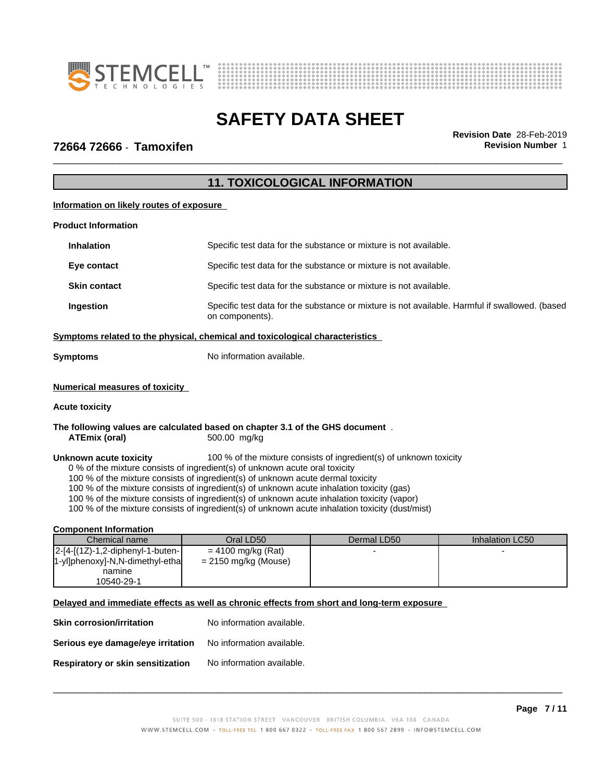



\_\_\_\_\_\_\_\_\_\_\_\_\_\_\_\_\_\_\_\_\_\_\_\_\_\_\_\_\_\_\_\_\_\_\_\_\_\_\_\_\_\_\_\_\_\_\_\_\_\_\_\_\_\_\_\_\_\_\_\_\_\_\_\_\_\_\_\_\_\_\_\_\_\_\_\_\_\_\_\_\_\_\_\_\_\_\_\_\_\_\_\_\_ **Revision Date** 28-Feb-2019

### **72664 72666** - **Tamoxifen Revision Number** 1

# **11. TOXICOLOGICAL INFORMATION**

### **Information on likely routes of exposure**

#### **Product Information**

| <b>Inhalation</b>   | Specific test data for the substance or mixture is not available.                                                 |
|---------------------|-------------------------------------------------------------------------------------------------------------------|
| Eye contact         | Specific test data for the substance or mixture is not available.                                                 |
| <b>Skin contact</b> | Specific test data for the substance or mixture is not available.                                                 |
| Ingestion           | Specific test data for the substance or mixture is not available. Harmful if swallowed. (based<br>on components). |

### **<u>Symptoms related to the physical, chemical and toxicological characteristics</u>**

| Symptoms | No information available. |  |
|----------|---------------------------|--|
|----------|---------------------------|--|

### **Numerical measures of toxicity**

### **Acute toxicity**

**The following values are calculated based on chapter 3.1 of the GHS document** . **ATEmix (oral)** 500.00 mg/kg

**Unknown acute toxicity** 100 % of the mixture consists of ingredient(s) of unknown toxicity

0 % of the mixture consists of ingredient(s) of unknown acute oral toxicity

100 % of the mixture consists of ingredient(s) of unknown acute dermal toxicity

100 % of the mixture consists of ingredient(s) of unknown acute inhalation toxicity (gas)

100 % of the mixture consists of ingredient(s) of unknown acute inhalation toxicity (vapor)

100 % of the mixture consists of ingredient(s) of unknown acute inhalation toxicity (dust/mist)

#### **Component Information**

| Chemical name                        | Oral LD50            | Dermal LD50 | Inhalation LC50 |
|--------------------------------------|----------------------|-------------|-----------------|
| $ 2-[4-[12]-1,2-diphenyl-1-buten-1]$ | $= 4100$ mg/kg (Rat) |             |                 |
| 1-yl]phenoxy]-N,N-dimethyl-etha      | = 2150 mg/kg (Mouse) |             |                 |
| namine                               |                      |             |                 |
| 10540-29-1                           |                      |             |                 |

### **Delayed and immediate effects as well as chronic effects from short and long-term exposure**

**Skin corrosion/irritation** No information available. **Serious eye damage/eye irritation** No information available. **Respiratory or skin sensitization** No information available.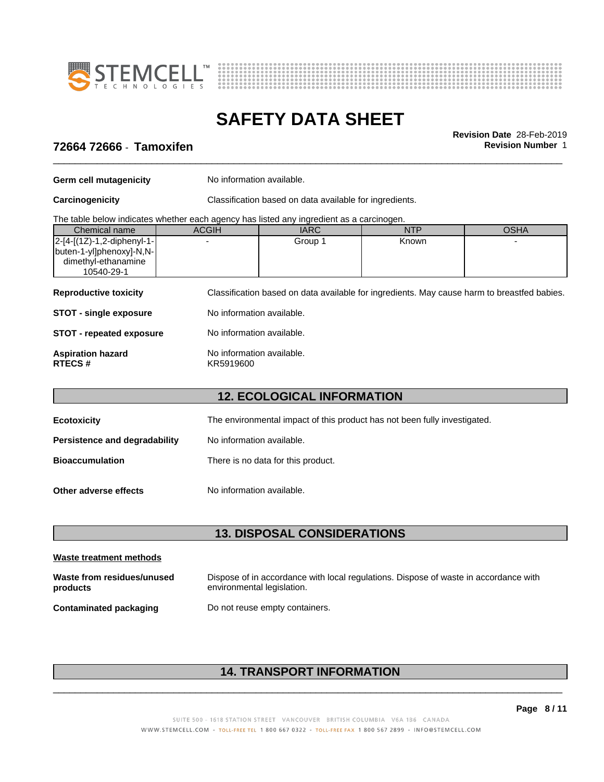



\_\_\_\_\_\_\_\_\_\_\_\_\_\_\_\_\_\_\_\_\_\_\_\_\_\_\_\_\_\_\_\_\_\_\_\_\_\_\_\_\_\_\_\_\_\_\_\_\_\_\_\_\_\_\_\_\_\_\_\_\_\_\_\_\_\_\_\_\_\_\_\_\_\_\_\_\_\_\_\_\_\_\_\_\_\_\_\_\_\_\_\_\_ **Revision Date** 28-Feb-2019

# **72664 72666** - **Tamoxifen Revision Number** 1

**Germ cell mutagenicity** No information available.

**Carcinogenicity** Classification based on data available for ingredients.

The table below indicates whether each agency has listed any ingredient as a carcinogen.

| Known<br>Group 1 | Chemical name                  | <b>ACGIH</b> | <b>IARC</b> | NTP | OSHA |
|------------------|--------------------------------|--------------|-------------|-----|------|
|                  | $ 2-[4-[(1Z)-1,2-diphenyl-1-]$ |              |             |     |      |
|                  | buten-1-yl]phenoxy]-N,N-       |              |             |     |      |
|                  | dimethyl-ethanamine            |              |             |     |      |
| 10540-29-1       |                                |              |             |     |      |

**Reproductive toxicity** Classification based on data available for ingredients. May cause harm to breastfed babies.

**STOT** - single exposure No information available.

**STOT** - **repeated exposure** No information available. **Aspiration hazard hackup No information available.**<br>RTECS # KR5919600 **RTECS #** KR5919600

# **12. ECOLOGICAL INFORMATION**

| Ecotoxicity                   | The environmental impact of this product has not been fully investigated. |
|-------------------------------|---------------------------------------------------------------------------|
| Persistence and degradability | No information available.                                                 |
| <b>Bioaccumulation</b>        | There is no data for this product.                                        |
| Other adverse effects         | No information available.                                                 |

### **13. DISPOSAL CONSIDERATIONS**

| Waste treatment methods                |                                                                                                                    |
|----------------------------------------|--------------------------------------------------------------------------------------------------------------------|
| Waste from residues/unused<br>products | Dispose of in accordance with local regulations. Dispose of waste in accordance with<br>environmental legislation. |
| Contaminated packaging                 | Do not reuse empty containers.                                                                                     |

# **14. TRANSPORT INFORMATION**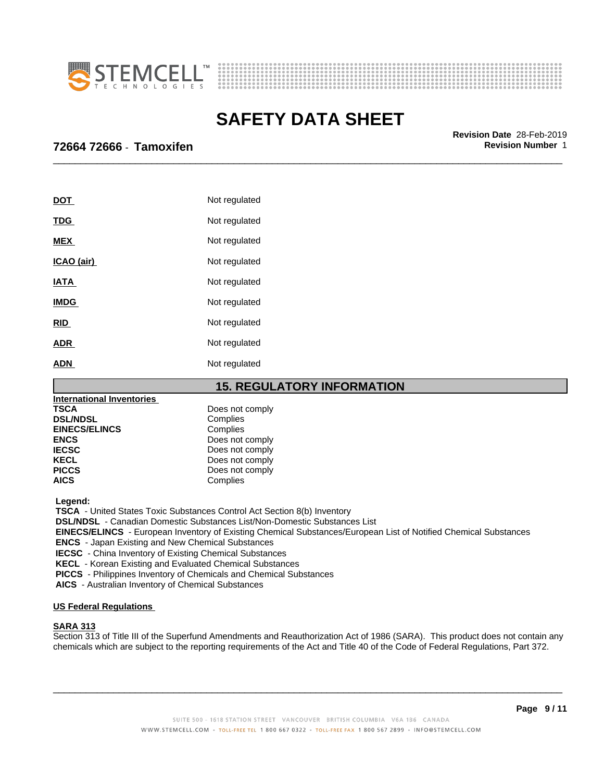



\_\_\_\_\_\_\_\_\_\_\_\_\_\_\_\_\_\_\_\_\_\_\_\_\_\_\_\_\_\_\_\_\_\_\_\_\_\_\_\_\_\_\_\_\_\_\_\_\_\_\_\_\_\_\_\_\_\_\_\_\_\_\_\_\_\_\_\_\_\_\_\_\_\_\_\_\_\_\_\_\_\_\_\_\_\_\_\_\_\_\_\_\_ **Revision Date** 28-Feb-2019

### **72664 72666** - **Tamoxifen Revision Number** 1

| <u>DOT</u>  | Not regulated |
|-------------|---------------|
| <b>TDG</b>  | Not regulated |
| <b>MEX</b>  | Not regulated |
| ICAO (air)  | Not regulated |
| <u>IATA</u> | Not regulated |
| <b>IMDG</b> | Not regulated |
| <b>RID</b>  | Not regulated |
| <b>ADR</b>  | Not regulated |
| <b>ADN</b>  | Not regulated |

**15. REGULATORY INFORMATION**

| International Inventories |                 |
|---------------------------|-----------------|
| <b>TSCA</b>               | Does not comply |
| <b>DSL/NDSL</b>           | Complies        |
| <b>EINECS/ELINCS</b>      | Complies        |
| <b>ENCS</b>               | Does not comply |
| <b>IECSC</b>              | Does not comply |
| <b>KECL</b>               | Does not comply |
| <b>PICCS</b>              | Does not comply |
| <b>AICS</b>               | Complies        |

 **Legend:**

 **TSCA** - United States Toxic Substances Control Act Section 8(b) Inventory

 **DSL/NDSL** - Canadian Domestic Substances List/Non-Domestic Substances List

 **EINECS/ELINCS** - European Inventory of Existing Chemical Substances/European List of Notified Chemical Substances

 **ENCS** - Japan Existing and New Chemical Substances

 **IECSC** - China Inventory of Existing Chemical Substances

 **KECL** - Korean Existing and Evaluated Chemical Substances

 **PICCS** - Philippines Inventory of Chemicals and Chemical Substances

 **AICS** - Australian Inventory of Chemical Substances

### **US Federal Regulations**

### **SARA 313**

Section 313 of Title III of the Superfund Amendments and Reauthorization Act of 1986 (SARA). This product does not contain any chemicals which are subject to the reporting requirements of the Act and Title 40 of the Code of Federal Regulations, Part 372.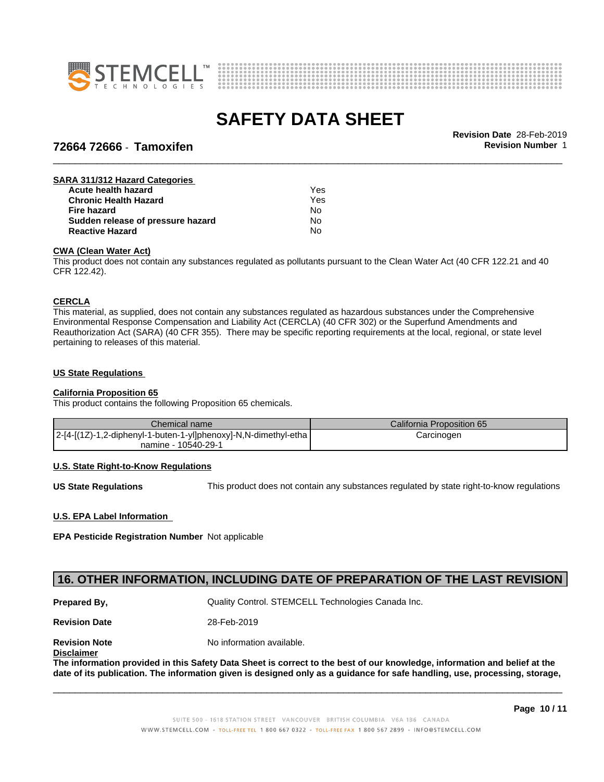



# \_\_\_\_\_\_\_\_\_\_\_\_\_\_\_\_\_\_\_\_\_\_\_\_\_\_\_\_\_\_\_\_\_\_\_\_\_\_\_\_\_\_\_\_\_\_\_\_\_\_\_\_\_\_\_\_\_\_\_\_\_\_\_\_\_\_\_\_\_\_\_\_\_\_\_\_\_\_\_\_\_\_\_\_\_\_\_\_\_\_\_\_\_ **Revision Date** 28-Feb-2019 **72664 72666** - **Tamoxifen Revision Number** 1

| <b>SARA 311/312 Hazard Categories</b> |     |  |
|---------------------------------------|-----|--|
| Acute health hazard                   | Yes |  |
| <b>Chronic Health Hazard</b>          | Yes |  |
| Fire hazard                           | Nο  |  |
| Sudden release of pressure hazard     | No  |  |
| <b>Reactive Hazard</b>                | No  |  |

### **CWA** (Clean Water Act)

This product does not contain any substances regulated as pollutants pursuant to the Clean Water Act (40 CFR 122.21 and 40 CFR 122.42).

#### **CERCLA**

This material, as supplied, does not contain any substances regulated as hazardous substances under the Comprehensive Environmental Response Compensation and Liability Act (CERCLA) (40 CFR 302) or the Superfund Amendments and Reauthorization Act (SARA) (40 CFR 355). There may be specific reporting requirements at the local, regional, or state level pertaining to releases of this material.

#### **US State Regulations**

#### **California Proposition 65**

This product contains the following Proposition 65 chemicals.

| Chemical name                                                   | California Proposition 65 |
|-----------------------------------------------------------------|---------------------------|
| 2-[4-[(1Z)-1,2-diphenyl-1-buten-1-yl]phenoxy]-N,N-dimethyl-etha | Carcinogen                |
| namine - 10540-29-1                                             |                           |

#### **U.S. State Right-to-Know Regulations**

**US State Regulations** This product does not contain any substances regulated by state right-to-know regulations

### **U.S. EPA Label Information**

**EPA Pesticide Registration Number** Notapplicable

### **16. OTHER INFORMATION, INCLUDING DATE OF PREPARATION OF THE LAST REVISION**

**Prepared By, State Control. STEMCELL Technologies Canada Inc.** Canada Inc.

**Revision Date** 28-Feb-2019

**Revision Note** Noinformation available.

#### **Disclaimer**

The information provided in this Safety Data Sheet is correct to the best of our knowledge, information and belief at the date of its publication. The information given is designed only as a guidance for safe handling, use, processing, storage,